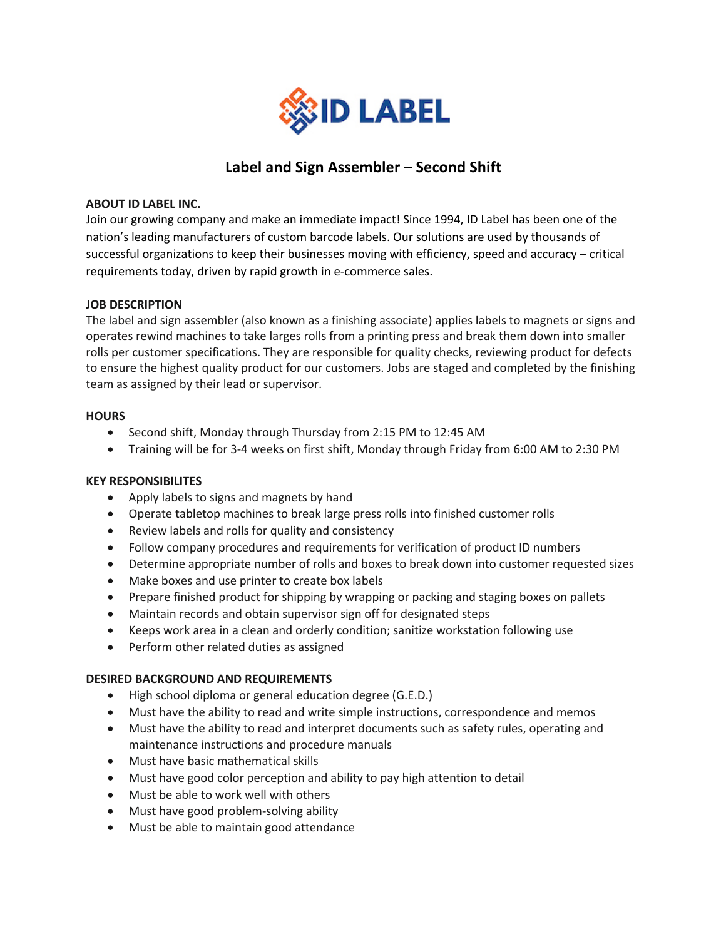

# **Label and Sign Assembler – Second Shift**

### **ABOUT ID LABEL INC.**

Join our growing company and make an immediate impact! Since 1994, ID Label has been one of the nation's leading manufacturers of custom barcode labels. Our solutions are used by thousands of successful organizations to keep their businesses moving with efficiency, speed and accuracy – critical requirements today, driven by rapid growth in e-commerce sales.

#### **JOB DESCRIPTION**

The label and sign assembler (also known as a finishing associate) applies labels to magnets or signs and operates rewind machines to take larges rolls from a printing press and break them down into smaller rolls per customer specifications. They are responsible for quality checks, reviewing product for defects to ensure the highest quality product for our customers. Jobs are staged and completed by the finishing team as assigned by their lead or supervisor.

#### **HOURS**

- Second shift, Monday through Thursday from 2:15 PM to 12:45 AM
- Training will be for 3-4 weeks on first shift, Monday through Friday from 6:00 AM to 2:30 PM

# **KEY RESPONSIBILITES**

- Apply labels to signs and magnets by hand
- Operate tabletop machines to break large press rolls into finished customer rolls
- Review labels and rolls for quality and consistency
- Follow company procedures and requirements for verification of product ID numbers
- Determine appropriate number of rolls and boxes to break down into customer requested sizes
- Make boxes and use printer to create box labels
- Prepare finished product for shipping by wrapping or packing and staging boxes on pallets
- Maintain records and obtain supervisor sign off for designated steps
- Keeps work area in a clean and orderly condition; sanitize workstation following use
- Perform other related duties as assigned

# **DESIRED BACKGROUND AND REQUIREMENTS**

- High school diploma or general education degree (G.E.D.)
- Must have the ability to read and write simple instructions, correspondence and memos
- Must have the ability to read and interpret documents such as safety rules, operating and maintenance instructions and procedure manuals
- Must have basic mathematical skills
- Must have good color perception and ability to pay high attention to detail
- Must be able to work well with others
- Must have good problem-solving ability
- Must be able to maintain good attendance